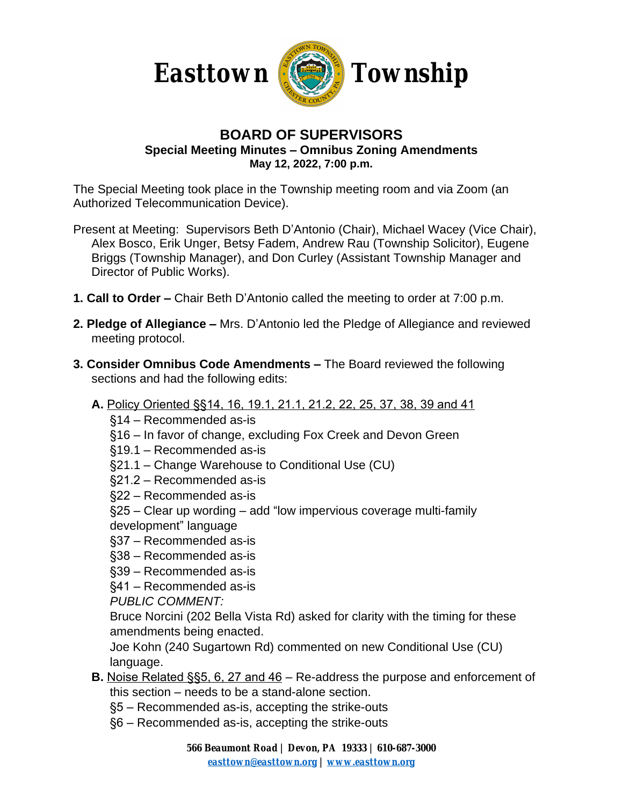



## **BOARD OF SUPERVISORS Special Meeting Minutes – Omnibus Zoning Amendments May 12, 2022, 7:00 p.m.**

The Special Meeting took place in the Township meeting room and via Zoom (an Authorized Telecommunication Device).

- Present at Meeting: Supervisors Beth D'Antonio (Chair), Michael Wacey (Vice Chair), Alex Bosco, Erik Unger, Betsy Fadem, Andrew Rau (Township Solicitor), Eugene Briggs (Township Manager), and Don Curley (Assistant Township Manager and Director of Public Works).
- **1. Call to Order –** Chair Beth D'Antonio called the meeting to order at 7:00 p.m.
- **2. Pledge of Allegiance –** Mrs. D'Antonio led the Pledge of Allegiance and reviewed meeting protocol.
- **3. Consider Omnibus Code Amendments –** The Board reviewed the following sections and had the following edits:
	- **A.** Policy Oriented §§14, 16, 19.1, 21.1, 21.2, 22, 25, 37, 38, 39 and 41
		- §14 Recommended as-is
		- §16 In favor of change, excluding Fox Creek and Devon Green
		- §19.1 Recommended as-is
		- §21.1 Change Warehouse to Conditional Use (CU)
		- §21.2 Recommended as-is
		- §22 Recommended as-is
		- §25 Clear up wording add "low impervious coverage multi-family development" language
		- §37 Recommended as-is
		- §38 Recommended as-is
		- §39 Recommended as-is
		- §41 Recommended as-is

*PUBLIC COMMENT:*

Bruce Norcini (202 Bella Vista Rd) asked for clarity with the timing for these amendments being enacted.

Joe Kohn (240 Sugartown Rd) commented on new Conditional Use (CU) language.

- **B.** Noise Related §§5, 6, 27 and 46 Re-address the purpose and enforcement of this section – needs to be a stand-alone section.
	- §5 Recommended as-is, accepting the strike-outs
	- §6 Recommended as-is, accepting the strike-outs